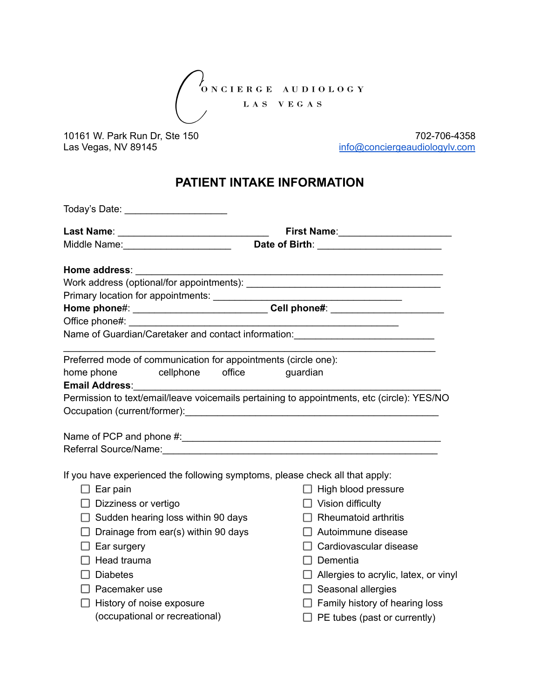$\bigg\}$ <sub>O N C I E R G E A U D I O L O G Y</sub> LAS VEGAS

10161 W. Park Run Dr, Ste 150<br>Las Vegas, NV 89145 702-706-4358 [info@conciergeaudiologylv.com](mailto:info@conciergeaudiologylv.com)

## **PATIENT INTAKE INFORMATION**

|                                                                                                                                                                                                                                | Today's Date: _____________________                            |                                                                                  |                                                                                            |
|--------------------------------------------------------------------------------------------------------------------------------------------------------------------------------------------------------------------------------|----------------------------------------------------------------|----------------------------------------------------------------------------------|--------------------------------------------------------------------------------------------|
|                                                                                                                                                                                                                                |                                                                |                                                                                  |                                                                                            |
| Middle Name: _______________________                                                                                                                                                                                           |                                                                | Date of Birth: _________________________                                         |                                                                                            |
| Home address: North Monetation of the Monetation of the Monetation of the Monetation of the Monetation of the Monetation of the Monetation of the Monetation of the Monetation of the Monetation of the Monetation of the Mone |                                                                |                                                                                  | <u> 1989 - Johann Barn, amerikansk politiker (d. 1989)</u>                                 |
|                                                                                                                                                                                                                                |                                                                |                                                                                  |                                                                                            |
|                                                                                                                                                                                                                                |                                                                |                                                                                  |                                                                                            |
|                                                                                                                                                                                                                                |                                                                | Home phone#: _________________________Cell phone#: _____________________________ |                                                                                            |
| Office phone#: example of the set of the set of the set of the set of the set of the set of the set of the set of the set of the set of the set of the set of the set of the set of the set of the set of the set of the set o |                                                                |                                                                                  |                                                                                            |
|                                                                                                                                                                                                                                |                                                                |                                                                                  | Name of Guardian/Caretaker and contact information: ____________________________           |
|                                                                                                                                                                                                                                | Preferred mode of communication for appointments (circle one): |                                                                                  |                                                                                            |
| home phone                                                                                                                                                                                                                     | cellphone office                                               |                                                                                  | guardian                                                                                   |
|                                                                                                                                                                                                                                |                                                                |                                                                                  |                                                                                            |
|                                                                                                                                                                                                                                |                                                                |                                                                                  | Permission to text/email/leave voicemails pertaining to appointments, etc (circle): YES/NO |
|                                                                                                                                                                                                                                |                                                                |                                                                                  |                                                                                            |
|                                                                                                                                                                                                                                |                                                                |                                                                                  |                                                                                            |
|                                                                                                                                                                                                                                |                                                                |                                                                                  |                                                                                            |
|                                                                                                                                                                                                                                |                                                                |                                                                                  |                                                                                            |
|                                                                                                                                                                                                                                |                                                                |                                                                                  | If you have experienced the following symptoms, please check all that apply:               |
| $\Box$ Ear pain                                                                                                                                                                                                                |                                                                |                                                                                  | $\Box$ High blood pressure                                                                 |
| $\Box$ Dizziness or vertigo                                                                                                                                                                                                    |                                                                |                                                                                  | $\Box$ Vision difficulty                                                                   |
|                                                                                                                                                                                                                                |                                                                |                                                                                  | $\Box$ Rheumatoid arthritis                                                                |
| $\Box$ Sudden hearing loss within 90 days                                                                                                                                                                                      |                                                                |                                                                                  |                                                                                            |
| Drainage from ear(s) within 90 days                                                                                                                                                                                            |                                                                |                                                                                  | $\Box$ Autoimmune disease                                                                  |
| $\Box$ Ear surgery                                                                                                                                                                                                             |                                                                |                                                                                  | Cardiovascular disease                                                                     |
| Head trauma                                                                                                                                                                                                                    |                                                                |                                                                                  | $\Box$ Dementia                                                                            |
| <b>Diabetes</b>                                                                                                                                                                                                                |                                                                |                                                                                  | $\Box$ Allergies to acrylic, latex, or vinyl                                               |
| $\Box$ Pacemaker use                                                                                                                                                                                                           |                                                                |                                                                                  | $\Box$ Seasonal allergies                                                                  |
|                                                                                                                                                                                                                                | History of noise exposure                                      |                                                                                  | $\Box$ Family history of hearing loss                                                      |
|                                                                                                                                                                                                                                | (occupational or recreational)                                 |                                                                                  | $\Box$ PE tubes (past or currently)                                                        |
|                                                                                                                                                                                                                                |                                                                |                                                                                  |                                                                                            |